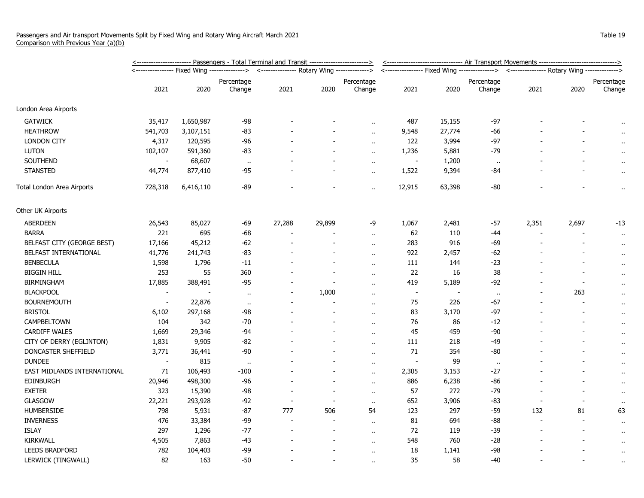|                             | <----------------------- Passengers - Total Terminal and Transit -----------------------> |           |                                                                                          |        |                |                          |                          | <------------------------------ Air Transport Movements -------------------------------> |                      |       |                                                                                          |                      |  |
|-----------------------------|-------------------------------------------------------------------------------------------|-----------|------------------------------------------------------------------------------------------|--------|----------------|--------------------------|--------------------------|------------------------------------------------------------------------------------------|----------------------|-------|------------------------------------------------------------------------------------------|----------------------|--|
|                             |                                                                                           |           | <---------------- Fixed Wing --------------> <--------------- Rotary Wing -------------> |        |                |                          |                          |                                                                                          |                      |       | <---------------- Fixed Wing --------------> <--------------- Rotary Wing -------------> |                      |  |
|                             | 2021                                                                                      | 2020      | Percentage<br>Change                                                                     | 2021   | 2020           | Percentage<br>Change     | 2021                     | 2020                                                                                     | Percentage<br>Change | 2021  | 2020                                                                                     | Percentage<br>Change |  |
| London Area Airports        |                                                                                           |           |                                                                                          |        |                |                          |                          |                                                                                          |                      |       |                                                                                          |                      |  |
| <b>GATWICK</b>              | 35,417                                                                                    | 1,650,987 | $-98$                                                                                    |        |                |                          | 487                      | 15,155                                                                                   | -97                  |       |                                                                                          | $\alpha$             |  |
| <b>HEATHROW</b>             | 541,703                                                                                   | 3,107,151 | $-83$                                                                                    |        |                | $\ddot{\phantom{a}}$     | 9,548                    | 27,774                                                                                   | -66                  |       |                                                                                          | $\bullet$ .          |  |
| <b>LONDON CITY</b>          | 4,317                                                                                     | 120,595   | $-96$                                                                                    |        |                | $\ddot{\phantom{a}}$     | 122                      | 3,994                                                                                    | $-97$                |       |                                                                                          |                      |  |
| <b>LUTON</b>                | 102,107                                                                                   | 591,360   | -83                                                                                      |        |                | $\ddot{\phantom{a}}$     | 1,236                    | 5,881                                                                                    | $-79$                |       |                                                                                          | $\ddot{\phantom{1}}$ |  |
| <b>SOUTHEND</b>             |                                                                                           | 68,607    | $\mathbf{u}$                                                                             |        |                | $\ddot{\phantom{a}}$     | $\blacksquare$           | 1,200                                                                                    | $\alpha$             |       |                                                                                          | $\sim$               |  |
| <b>STANSTED</b>             | 44,774                                                                                    | 877,410   | -95                                                                                      |        |                | $\sim$                   | 1,522                    | 9,394                                                                                    | -84                  |       |                                                                                          | $\cdot$              |  |
| Total London Area Airports  | 728,318                                                                                   | 6,416,110 | $-89$                                                                                    |        |                | $\ddot{\phantom{1}}$     | 12,915                   | 63,398                                                                                   | -80                  |       |                                                                                          | $\ddot{\phantom{1}}$ |  |
| Other UK Airports           |                                                                                           |           |                                                                                          |        |                |                          |                          |                                                                                          |                      |       |                                                                                          |                      |  |
| <b>ABERDEEN</b>             | 26,543                                                                                    | 85,027    | -69                                                                                      | 27,288 | 29,899         | -9                       | 1,067                    | 2,481                                                                                    | $-57$                | 2,351 | 2,697                                                                                    | $-13$                |  |
| <b>BARRA</b>                | 221                                                                                       | 695       | $-68$                                                                                    |        |                | $\sim$                   | 62                       | 110                                                                                      | $-44$                |       |                                                                                          | $\cdot$              |  |
| BELFAST CITY (GEORGE BEST)  | 17,166                                                                                    | 45,212    | $-62$                                                                                    |        |                | $\ddot{\phantom{a}}$     | 283                      | 916                                                                                      | -69                  |       |                                                                                          | $\alpha$             |  |
| BELFAST INTERNATIONAL       | 41,776                                                                                    | 241,743   | $-83$                                                                                    |        |                | $\ddot{\phantom{a}}$     | 922                      | 2,457                                                                                    | $-62$                |       |                                                                                          | $\bullet$ .          |  |
| <b>BENBECULA</b>            | 1,598                                                                                     | 1,796     | $-11$                                                                                    |        |                | $\ddot{\phantom{1}}$     | 111                      | 144                                                                                      | $-23$                |       |                                                                                          | $\cdot$              |  |
| <b>BIGGIN HILL</b>          | 253                                                                                       | 55        | 360                                                                                      |        |                | $\mathbf{r}$ .           | 22                       | 16                                                                                       | 38                   |       |                                                                                          | $\bullet$ .          |  |
| <b>BIRMINGHAM</b>           | 17,885                                                                                    | 388,491   | $-95$                                                                                    |        |                | $\sim$                   | 419                      | 5,189                                                                                    | -92                  |       |                                                                                          | $\cdot$ .            |  |
| <b>BLACKPOOL</b>            |                                                                                           |           | $\mathbf{H}$                                                                             |        | 1,000          | $\sim$                   | $\overline{\phantom{a}}$ |                                                                                          | $\cdot$              |       | 263                                                                                      | $\alpha$             |  |
| <b>BOURNEMOUTH</b>          | $\overline{\phantom{a}}$                                                                  | 22,876    | $\mathbf{u}$                                                                             |        |                | $\overline{\phantom{a}}$ | 75                       | 226                                                                                      | -67                  |       |                                                                                          |                      |  |
| <b>BRISTOL</b>              | 6,102                                                                                     | 297,168   | $-98$                                                                                    |        |                | $\ddot{\phantom{1}}$     | 83                       | 3,170                                                                                    | $-97$                |       |                                                                                          | $\cdot$ .            |  |
| CAMPBELTOWN                 | 104                                                                                       | 342       | $-70$                                                                                    |        |                | $\ddot{\phantom{1}}$     | 76                       | 86                                                                                       | $-12$                |       |                                                                                          | $\cdot$              |  |
| CARDIFF WALES               | 1,669                                                                                     | 29,346    | -94                                                                                      |        |                | $\ddot{\phantom{a}}$     | 45                       | 459                                                                                      | $-90$                |       |                                                                                          | $\alpha$             |  |
| CITY OF DERRY (EGLINTON)    | 1,831                                                                                     | 9,905     | $-82$                                                                                    |        |                | $\ddot{\phantom{a}}$     | 111                      | 218                                                                                      | $-49$                |       |                                                                                          | $\cdot$              |  |
| DONCASTER SHEFFIELD         | 3,771                                                                                     | 36,441    | $-90$                                                                                    |        |                | $\ddot{\phantom{a}}$     | 71                       | 354                                                                                      | $-80$                |       |                                                                                          | $\cdot$              |  |
| <b>DUNDEE</b>               | $\blacksquare$                                                                            | 815       | $\mathbf{u}$                                                                             |        |                | $\mathbf{r}$ .           | $\sim$                   | 99                                                                                       | $\ddot{\phantom{1}}$ |       |                                                                                          | $\ddot{\phantom{1}}$ |  |
| EAST MIDLANDS INTERNATIONAL | 71                                                                                        | 106,493   | $-100$                                                                                   |        |                | $\ddot{\phantom{1}}$     | 2,305                    | 3,153                                                                                    | $-27$                |       |                                                                                          | $\cdot$ .            |  |
| EDINBURGH                   | 20,946                                                                                    | 498,300   | -96                                                                                      |        |                | $\sim$                   | 886                      | 6,238                                                                                    | $-86$                |       |                                                                                          | $\cdot$              |  |
| <b>EXETER</b>               | 323                                                                                       | 15,390    | -98                                                                                      |        | $\sim$         | $\ddot{\phantom{1}}$     | 57                       | 272                                                                                      | $-79$                |       |                                                                                          | $\bullet$ .          |  |
| GLASGOW                     | 22,221                                                                                    | 293,928   | $-92$                                                                                    |        |                | $\alpha$ .               | 652                      | 3,906                                                                                    | $-83$                |       |                                                                                          | $\bullet$            |  |
| <b>HUMBERSIDE</b>           | 798                                                                                       | 5,931     | $-87$                                                                                    | 777    | 506            | 54                       | 123                      | 297                                                                                      | $-59$                | 132   | 81                                                                                       | 63                   |  |
| <b>INVERNESS</b>            | 476                                                                                       | 33,384    | $-99$                                                                                    |        |                | $\ddot{\phantom{a}}$     | 81                       | 694                                                                                      | -88                  |       |                                                                                          | $\alpha$             |  |
| <b>ISLAY</b>                | 297                                                                                       | 1,296     | $-77$                                                                                    |        | $\blacksquare$ | $\ddot{\phantom{1}}$     | 72                       | 119                                                                                      | $-39$                |       |                                                                                          | $\cdot$ .            |  |
| KIRKWALL                    | 4,505                                                                                     | 7,863     | $-43$                                                                                    |        |                | $\alpha$                 | 548                      | 760                                                                                      | $-28$                |       |                                                                                          | $\cdot$ .            |  |
| <b>LEEDS BRADFORD</b>       | 782                                                                                       | 104,403   | -99                                                                                      |        |                | $\alpha$                 | 18                       | 1,141                                                                                    | -98                  |       |                                                                                          | $\bullet$            |  |
| LERWICK (TINGWALL)          | 82                                                                                        | 163       | $-50$                                                                                    |        |                | ٠.                       | 35                       | 58                                                                                       | $-40$                |       |                                                                                          | $\alpha$             |  |